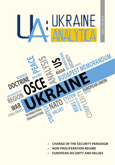

- **CHANGE OF THE SECURITY PARADIGM**
- **NON-PROLIFERATION REGIME**
- **EUROPEAN SECURITY AND VALUES**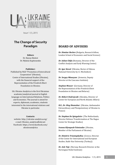

Issue 1 (1), 2015

### **The Change of Security Paradigm**

**Editors**

Dr Hanna Shelest Dr. Mykola Kapitonenko

#### **Publisher:**

Published by NGO "Promotion of Intercultural Cooperation" (Ukraine), Centre of International Studies (Ukraine), with the financial support of the Representation of the Friedrich Ebert Foundation in Ukraine

UA: Ukraine Analytica is the first Ukrainian academic/analytical journal in English language on International Relations, Politics and Economics The journal is aimed for experts, diplomats, academics, students interested in the international relations and Ukraine in particular

#### **Contacts:**

website: http://ukraine-analytica org/ e-mail: Ukraine\_analytica@ukr.net Facebook: https://www facebook com/ ukraineanalytica

### **BOARD OF ADVISERS**

*Dr. Dimitar Bechev* (Bulgaria, Research fellow, London School of Economics and Social Science)

*Dr. Iulian Chifu* (Romania, Director of the Conflict Analysis and Early Warning Center)

*Dr. Igor Koval* (Ukraine, Rector of Odessa National University by I.I. Mechnikov)

*Dr. Sergey Minasyan* (Armenia, Deputy Director at the Caucasus Institute)

*Stephan Meuser* (Germany, Director of the Representation of the Friedrich Ebert Foundation in Ukraine and Belarus)

*Dr. Róbert Ondrejcsák* (Slovakia, Director of Center for European and North Atlantic Affairs)

*H.E., Dr. Oleg Shamshur* (Ukraine, Ambassador Extraordinary and Plenipotentiary of Ukraine to France)

*Dr. Stephan De Spiegeleire* (The Netherlands, Director Defence Transformation at The Hague Center for Strategic Studies)

*Ivanna Klympush-Tsintsadze* (Ukraine, Member of the Parliament of Ukraine)

*Dr. Dimitris Triantaphyllou* (Greece, Director of the Center for International and European Studies, Kadir Has University (Turkey))

*Dr. Asle Toje* (Norway, Research Director at the Norwegian Nobel Institute)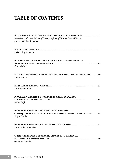# **TABLE OF CONTENTS**

| IS UKRAINE AN OBJECT OR A SUBJECT OF THE WORLD POLITICS? 3<br>Interview with the Minister of Foreign Affairs of Ukraine Pavko Klimkin<br>for UA: Ukraine Analytica |
|--------------------------------------------------------------------------------------------------------------------------------------------------------------------|
| Mykola Kapitonenko                                                                                                                                                 |
| IS IT ALL ABOUT VALUES? DIVERGING PERCEPTIONS OF SECURITY<br>AS REASON FOR NATO-RUSSIA CRISIS ACCORDINATION CONTRACT 15<br>Yulia Nikitina                          |
| <b>RUSSIA'S NEW SECURITY STRATEGY AND THE UNITED STATES' RESPONSE 24</b><br>Polina Sinovets                                                                        |
| Taras Mykhalniuk                                                                                                                                                   |
| <b>PROSPECTIVE ANALYSIS OF UKRAINIAN CRISIS: SCENARIOS</b><br><b>Iulian Chifu</b>                                                                                  |
| UKRAINIAN CRISIS AND BUDAPEST MEMORANDUM:<br><b>CONSEQUENCES FOR THE EUROPEAN AND GLOBAL SECURITY STRUCTURES  45</b><br>Sergiy Galaka                              |
| UKRAINIAN CRISIS' IMPACT ON THE SOUTH CAUCASUS 52<br>Tornike Sharashenidze                                                                                         |
| <b>CRISIS MANAGEMENT IN UKRAINE OR WHY IS THERE REALLY</b><br>Olena Bordilovska                                                                                    |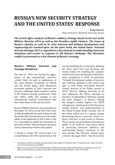## **RUSSIA'S NEW SECURITY STRATEGY AND THE UNITED STATES' RESPONSE**

*Polina Sinovets,* 

*Odessa National I.I. Mechnikov University, Ukraine*

*The article offers analysis of Russia's military strategy based on the text of the Military Doctrine 2014 as well as the Kremlin's public rhetoric. The issues of Russia's identity as well as its vital interests and military development and engineering are touched upon. On the other hand, the United States' National Security Strategy 2015 is regarded as a key element to understanding American intentions and resolve in response to the Russia's challenge. The Ukrainian conflict is presented as a key element of Russia's strategy.*

### **Russia's Military Doctrine and Strategic Worldview**

The year of 2015 was marked by aggravation of the international relations' conflict level, as well as publication of the main defence documents by Russia and the United States. Both documents presented updates of basic interests and security challenges these countries define in the modern security architecture. They also reflect shifts and changes in the international political environment that have taken place in the last two years.

Russia's Military Doctrine was presented on December 29, 2014, on the New Year's Eve, as if the Kremlin did not want to share it with the world. Still, it became known to the wider public in the beginning of 2015; that is why it is reasonable to regard the Document as the event of 2015. This document's key ideas can be summed up in three main points:

1. Russia is rising. The central idea is to counterbalance the West presented as the one destabilizing the world order. Blaming the West (and, first and foremost, the United States) for building the unipolar world has become the Russia's authorities' main catchphrase in 2015. In particular, "To build the balanced system of interests and relations defined in the world long ago", is how Putin articulated Russia's current mission in his Valdai speech in 20141. Russia's Military Doctrine, in its turn, addresses the West's attempts to increase its geopolitical influence among the main "dangers" to Russia. 2 Among the dangers ranked highest are NATO enlargement, deployment of the European missile defence, and implementation of the Global Prompt Strike concept. One of the newly added one is a regime change threatening Russia's interests, which is a direct reference to the events in Ukraine. These events are presented to the Russian public as an artificial coup d'état aimed at increasing American influence and undermining Russia's positions in the near abroad. The "Threats" chapter gives a similar message, where "special security

<sup>1</sup> Zasedaniye mezhdunarodnogo discussionnogo cluba Valdai, 24 Octiabria 2014, "Prezident Rossii", http://kremlin. ru/events/president/news/46860

<sup>&</sup>lt;sup>2</sup> Военная доктрина Российской Федерации ( Military Doctrine of Russian Federation) 29 декабря, 2014 года [http://static.kremlin.ru/media/events/files/41d527556bec8deb3530.pdf , acess: 9.01.2015]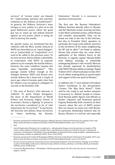services" of "certain states' are blamed for "undermining spiritual and patriotic traditions in the defence of motherland"3. In general, the Military Doctrine's main intrigue is very similar to a plot of an old good Hollywood movie, where the good guy has to stand up and defend himself against an evil power, which is doing its best to destroy his wealth.

No specific names are mentioned but the relations with the West, mostly reduced to NATO, are described as an "equal dialogue", not as "partnership" or "cooperation" as it used to be called in the previous years. To be more precise, Russia admits a possibility of cooperation with NATO in separate spheres as, for example, the missile defence, however, the main condition remains the same – "equitable participation"<sup>4</sup>. This passage sounds hollow enough as the dialogue between NATO and Russia over missile defence hit a dead end a couple of years ago, when it became quite clear that the Alliance was not going to subjugate its security to the Kremlin's will.

2. The area of Russia's vital interests is outlined. To quote Sergey Karaganov, the Dean of the Department of World Politics and Economy, Higher School of Economics, Russia is fighting "to preserve the territories considered to be of vital importance for its survival."5 In particular, the Doctrine text defines these territories<br>as "states bordering the Russian bordering

Federation." Overall, it is necessary to mention several points:

The first one: the Russian Federation's Military Doctrine directly refers to Ukraine and the Ukrainian events, drawing red lines to the West's potential actions, which Russia will consider unacceptable. They can be found not only in the text of the Doctrine, but also in President Putin' speeches. In particular, the Large-scale military exercises in the territories of the states neighbouring the RF and its allies<sup>"6</sup> are listed as military threats (the actions that can cause direct application of the military force) in the Doctrine. It regards regular Ukraine-NATO joint military trainings as potentially endangering Russia's vital security. Moscow has already expressed its dissatisfaction with NATO-Ukraine military trainings "Rapid Trident-2015", which took place in July 2015 in Lviv oblast, treating them as a provocation and support of the war spirit in Ukraine. 7

In addition, the "i" were dotted in President Putin's revelations in the documentary "Crimea. The Way Back Home<sup>8</sup>": Putin said he was ready to use nuclear weapons if necessary to "defend" people in Crimea. Such Russian public figures and officials as Fyodor Lukyanov and lieutenant general Evgeniy Buzhinskiy both comment on their concern about the sort of NATO actions that can launch an actual war with Russia. In particular, Buzhinskiy believes that for Russia, Ukraine is a red line and especially

 $3$  Военная доктрина Российской Федерации ( Military Doctrine of Russian Federation) 29 декабря, 2014 года [http://static.kremlin.ru/media/events/files/41d527556bec8deb3530.pdf , acess: 9.01.2015]

 $\frac{4}{5}$  Ibid.

<sup>5</sup> Сергей� Караганов, Причина этого конфликта – заблуждения Запада, поэтому русские не сдадутся (The reason of this conflict is the West's mistake, that is why Russians would not surrender), Россия в глобальной� политике, 24 September, 2014,[http://www.globalaffairs.ru/pubcol/Prichina-etogo-konflikta--zabluzhdeniya-Zapada-poetomu-russkie-ne-sdadutsya-16975, acces: 25.02.2015].

 $6$  Военная доктрина Российской Федерации (Military Doctrine of the Russian Federation) 29 декабря, 2014 года [http://static.kremlin.ru/media/events/files/41d527556bec8deb3530.pdf , access: 9.01.2015]

 $7$  Россия считает учения во Львовской области провокацией (Russia views the military trainings in Lviv oblast as provocation) [http://24tv.ua/ru/ukraina/rossija\_schitaet\_voennye\_uchenija\_vo\_lvovskoj\_oblasti\_provokaciej/ n59506; access: 25.08.2015]

<sup>8</sup> Crimea The Way Back Home – EN Subtitles. Full Documentary, March 24, 2015, Sott. Net, [access: www.sott.net, August 5, 2015]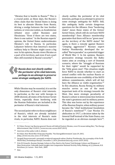"Ukraine that is hostile to Russia."9 This is a crucial point, as these days, the Russia's elites claim that the United States is doing its best to alienate Ukraine from Russia, driving a wedge between the two brother nations, or even one nation, as Academician<br>Arbatov once called Russians and Arbatov once called Russians and Ukrainians: "Even if there are two states, there is one nation." In the Russian experts' opinion, the United States underestimates Ukraine's role to Russia. In particular, Lukyanov believes that America's massive military help to Ukraine might cause a big war. In his opinion, Russia views Ukraine as a part of its territory, and even if not a part then still essential to Russia's security<sup>11</sup>.

«*Russia does not clearly outline the perimeter of its vital interests, perhaps in an attempt to preserve some strategic ambiguity for NATO.*

While Ukraine may be essential, it is not the only dimension of Russia's vital interests. In particular, as the war with Georgia in 2008 showed, all states of the former Soviet Union, especially those bordering with the Russian Federation are included in the perimeter of Russia's vital interests.

The second point refers to those neighbours of Russia's, which are already included in the vital interests of Russia's main rivals, in particular, NATO. Russia does not clearly outline the perimeter of its vital interests, perhaps in an attempt to preserve some strategic ambiguity for NATO. Still, this ambiguity holds certain dangerous questions for the Alliance. Does "bordering states" mean those states of the former Soviet Union, which still do not have NATO membership? Does Alliance membership guarantee that there will be no "green men" on the territory of the NATO states? Yet again, is there a remedy against Russia's "creeping aggression"? Russian expert Andrey Piontkovsky developed the socalled "Narva paradox" as a potential trigger of World War 3. In his opinion, Russia's provocative strategy towards the Baltic states aims at creating a sort of Donetsk scenario, where the "struggle of Russians for their rights" would be supported by the "little green men". This situation might force NATO to decide whether to start an armed conflict with the nuclear Russia or to demonstrate non-credibility of the NATO defence commitments, which will all but bury the Alliance as viable organization.<sup>12</sup> In this situation, Russia flexing its military muscles serves as one of the most important tools of its strategy towards the West. One more strategic peculiarity of Russia's culture is interconnection between the state's greatness and its military power. This idea was borne out by the experience of the Russian Empire, when military power became the "chief institutional foundation of Russia's statehood"13. Czar Nicolas II's abdication in 1917, a decision taken by the General Staff instead of the State Duma, can be regarded as an obvious example here $^{14}$ .

<sup>&</sup>lt;sup>9</sup> M. Fisher, Former top Russian general: Russia will defend Eastern Ukraine, even if it means taking Kiev, "Vox Energy &Environment', May 15,2015, [ www.vox.com; access:28.07.2015]

<sup>&</sup>lt;sup>10</sup> Interview of the author with A. Arbatov.

<sup>&</sup>lt;sup>11</sup> M. Fisher, How World War III became Possible, "Vox Energy&Envirnment", June 29, 2015, [http://www.vox.com; acess: 27.07.2015]

 $12$  Андрей Пионтковский: сценарий четвёртой мировой войны (Andrey Piontkovsky: the screenplay of the Forth World War),"Svobodnaya Rossiya", December 2, 2014, [freedomrussia.org; access: 20.07.2015]

<sup>13</sup> Fritz W. Ermarth., Russian Strategic Culture in Flux: Back to the Future? [in]:Strategic Culture and Weapons of Mass Destruction. Culturally-based insights into Comparative National Security Policy Making, ed. J.J. Johnson, K.K. Kartchner, J.A. Larsen – New York , 2009.

<sup>14</sup> Ibid.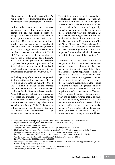Therefore, one of the main tasks of Putin's regime is to restore Russia's military might, at least to the level of its regional ambitions.

Until recently, conventional deterrence was considered one of the Russia's weakest points, although the situation began to change. At first sight, Russia's conventional arms procurement plans look very ambitious. Moscow is putting significant efforts into correcting its conventional imbalance with NATO. In particular, Russia's 2015 federal budget allocates 3.286 trillion roubles to defence, equivalent to 4.2% of GDP15. As a result, the Kremlin's defence budget has doubled since 2004. Russia's 2011-2020 arms procurement program stipulates the upgrade of up to 11% of the forces' military equipment annually, and will boost the share of modern weaponry in the armed forces' inventory to 70% by 2020. 16

At the beginning of the decade, the general feeling was that, within seven years, Russia would be able to catch up with the United States in implementation of the Prompt Global Strike concept. This statement was confirmed by the Russian military exercise Zapad-2013, which, unlike in previous years, was based on imitation of a conventional weapons scenario conflict<sup>17</sup>. Moreover, the mention of conventional strategic deterrence as well as the Prompt Global Strike among military dangers seems to attract attention to Russia's rapid development of its conventional arms capabilities.

Today, this idea sounds much less realistic,<br>considering the actual international international dynamics. The impact of sanctions against Russia as well as the consequences of the current prices for oil, which dropped by almost a half during the last year, blurs the conventional weapons development perspective. According to evaluations made in the end of 2014, due to the sanctions Russia is going to suffer a reduction of its GDP by 2-3% per year<sup>18</sup>. Today, almost  $80\%$ of key sensitive technologies used by Russia to make precision-guided munitions are imported from the West, which will become unsustainable because of the sanctions $19$ .

Therefore, Russia still relies on nuclear weapons as the ultimate and undeniable tool of its power. Looking at the Doctrine text for the first time, it is possible to believe that Russia regards application of nuclear weapons as the last resort to defend itself against the conventional aggression, "when the very existence of the state is under threat." Meanwhile, considered in the context of Russia's actions in general, military trainings, and the Kremlin's statements, it gains a much wider meaning. Vladimir Putin's admitted readiness to use nuclear weapons to defend Crimea makes it clear, that for the Kremlin, existence of the state means preservation of the current political regime with its aggressive nationalist ideology. "Sovereignty, independence, and unity of Russia is undeniable. They are those "red lines" nobody is to cross". 20 The

<sup>15</sup> 'Strategic nuclear force top priority of Russian army in 2015', December 29, 2014," Russia News.net", [http://www.russianews.net/index.php/sid/228941881; accessed: 5.03.2015].

<sup>16</sup> Russian Military Budget, "GlobalSecurity.org", www.globalsecurity.org/military/world/russia/mo-budget.htm [accessed: 12.01.2015].

<sup>&</sup>lt;sup>17</sup> Nikolai Sokov, Upping the Ante: The Implications of Russia's Pursuit of Precision Conventional Strike Weapons", WMD Junction, James Martin Center for Nonproliferation Studies, 20 December 2013, [http://wmdjunction.com/131220\_russia\_precision\_conventional\_strike.htm; accessed: 17.01.2015].

<sup>18</sup> Vladislav Inozemtsev: Kak Sanktsii izmeniat Rossiyu?, "Haifainfo.ru", December 6, 2014, [http://haifainfo.ru/?p=48533 (accessed: 19.02.2015].

 $^{19}$  Igor Sutyagin, Roundtable discussion "Ukraine and Its Neighborhood: How to Deal with Aggressive Russia?", NATO Defense College, Rome, February 9, 2015.

<sup>20</sup> Vystuplrnie Vladimira Putina na zasedanii kluba Valdai, 19 Sentiabria 2013, http://www.rg.ru/2013/09/19/stenogramma-site.html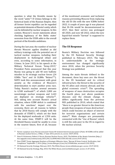question is what the Kremlin means by the word "unity"? If Crimea belongs to the historical lands of the Russian Empire, then all former Soviet republics can be regarded as potential elements of Russia's unity, which can be defended by nuclear weapons. In this context, Moscow's recent statements about checking legitimacy of the Baltic states' secession from the USSR adds to the overall portrait of the Kremlin ambitions.

During the last year, the number of nuclear threats Moscow applies doubled as did military trainings with the potential use of tactical nuclear weapons, including their deployment in Kaliningrad oblast and even, according to some information, in Crimea. In June 2015, in his speech at the Military Technical Forum "Army-2015," President Putin announced that this year Russia was going to add 40 new ballistic missiles to its strategic nuclear forces (24 ICMBs "Yars" and 16 SLBMs "Bulava"21). NATO took this announcement with great anxiety as the evidence of Moscow's determination to start another arms race. Today, Russia's nuclear arsenal amounts to  $4,500$  warheads<sup>22</sup>, of which 2,000 are nonstrategic nuclear weapons and 1,643 are deployed on strategic vehicles<sup>23</sup>. Still, taking into account Russia's actual situation, where ICBM deficit is combined with the sanctions' impact over the economy, there are all reasons to believe that by 2018 Russia will comply with the demands of START-3, which set the limit for the deployed warheads at 1,550 units. At the same time, START-3 will be the threshold Russia would be unable to cross in the nearest future, first of all, because of the mentioned economic and technical reasons preventing Moscow from replacing the old SS-18s with the new ICBMs before 2022. A couple of years ago it was planned that SS-18s would be decommissioned in 2017, then their service was prolonged till 2020, and now till 2022, when the new liquid-fuel missile "Sarmat" is supposed to replace them.

### **The US Response**

Russia's Military Doctrine was followed by the US National Security Strategy published in February 2015. The logic is understandable as the strategic environment has changed significantly since 2010, when the previous Security Strategy was published.

Among the main threats defined in the document, three key ones are: the threat to the US homeland and its critical infrastructure; the threat to the security of the US allies and citizens abroad; and the global economic crisis<sup>24</sup>. The spreading of weapons of mass destruction occupies the fourth place, just above pandemic diseases and the climate change. It differs significantly from the previous NSS published in 2010, which stated that "there is no greater threat to the American people than weapons of mass destruction", which could become an object of interest for terrorist organizations and certain states<sup>25</sup>. Main changes are presumably connected with the "rise of Russia", which is still the only peer to the US in regard to the nuclear arsenal.

<sup>&</sup>lt;sup>21</sup> Путин: ядерные силы России пополнят более 40 межконтинентальных ракет (Putin: 40 ICBMs will be added to Russian nuclear forces ), «ТВЦ», 17 June 2015, [ww.tvc.ru; access: 30.07.2015]

<sup>22</sup> Hans N. Kristensen, Robert S. Norris, Russian Nuclear Forces, 2015, The Bulletin of the Atomic Scientists [http:// bos.sagepub.com/content/early/2015/04/13/0096340215581363.full; access:29.07.2015]

<sup>&</sup>lt;sup>23</sup> New START Treaty Aggregate Numbers of Strategic Offensive Arms, "Bureau Of Arms Control, Verification, And Compliance" September 1, 2014, [http://www.state.gov/t/avc/rls/235606.htm; accessed:12.02.2015].

<sup>&</sup>lt;sup>24</sup> US National Security Strategy, February 2015, The White House, [www.whitehouse.gov; access: 25.07.2015]

<sup>25</sup> US National Security Strategy, May, 2010, The White House, [www.whitehouse.gov; access: 21.07.2015]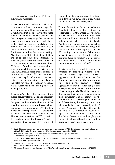It is also possible to outline the US Strategy in two main messages:

1. US' continued leadership, which is presented as a leadership by strength, by an example, and with capable partners. It is mentioned that, besides having the most dynamic economy in the world, the US has the strongest military might but its values make it an exceptional and undeniable leader. Such an aggressive style of the document seems as a reminder to Russia that all its criticism of the American global dominance is nothing but empty barking. Also, the United States' budget capabilities are quite different from Russia's. In particular, while at the end of the 1980s, the USSR's military expenditures were about 70-80% of America's, which was almost enough to reach the strategic parity, and in the 2000s, Russia's expenditures decreased to 9-17% of America's<sup>26</sup>. These numbers show the depth of military disparity between the two states today, especially in the fields not related to nuclear weapons, which Russia has been keeping since the Soviet parity era.

2. America's vital interests concentrate first on security of its homeland and security of its allies and partners. In particular, this point can be underlined as one of the most important messages to Russia, whose permanent provocations at NATO borders mentioned earlier pose a threat to credibility of the US defensive commitments to the Alliance, and, therefore, NATO's cohesion. To a certain extent, the Russian President aggravated this concern by saying "if I wanted, the Russian troops would not only be in Kyiv in two days, but in Riga, Vilnius, Tallinn, Warsaw or Bucharest, too.27"

To stop Russia from further speculations, President Obama visited Estonia in September of 2014, where he reiterated the US pledge to defend the Baltics. "We'll be here for Estonia. We will be here for Lithuania. We will be here for Latvia. You lost your independence once before. With NATO, you will never lose it again<sup>"28</sup>. Obama's words were supported by the US sending troops to the Baltic states to participate in the 3-month military trainings "Atlantic Resolve" to demonstrate the United States' readiness to act on its commitments to its NATO Allies<sup>29</sup>

Special attention is paid to support of partners, in particular, Ukraine in the face of Russia's aggression. "Russia's aggression in Ukraine makes it clear that European security and the international rules and norms against territorial aggression cannot be taken for granted. In response, we have led an international effort to support the Ukrainian people as they choose their own future and develop their democracy and economy."30 At the same time, there is a strong determination in differentiating between partners and allies, as the latter are covered by Article 5 of the Washington Treaty, obliging the US as a NATO member to respond to aggression against them. In this light, the United States reiterated its pledge to support its allies, although unable to help Europeans resist Russia's coercion.

<sup>&</sup>lt;sup>26</sup> Юрий Фёдоров, Глазами либерала: вы слышите, грохочут сапоги (With liberal's eyes: you hear the boots are rattling), "PIR Center Security Index", June 2015, [pircenter.org; access: 15.07.2015]

<sup>&</sup>lt;sup>27</sup> Will Stewart, Moscow troops could be in five NATO capitals in two days, boasts Putin: www.dailymail.co.uk; access: 25.07.2015]

<sup>&</sup>lt;sup>28</sup> Remarks by President Obama to people of Estonia, Nordea Concert Hall, Tallinn, Estonia, The White House, [www.whitehouse.gov; access: 26.07.2015]

European Security: Operation Atlantic Resolve, US Department of Defense, [http://www.defense.gov; access July 30, 215]

<sup>30</sup> US National Security Strategy, February 2015, "The White House,, [www.whitehouse.gov; access: 25.07.2015]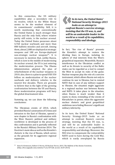In this connection, the US military capabilities play a secondary role to its resolve, which to the White House seems to be the weakest element of its commitments' credibility. Still, it is worth mentioning that conventionally the United States is much stronger than Russia and the only field, where relative parity still exists, is the nuclear arsenal. Today the United States possesses about 4,760 nuclear warheads and more than 800 ballistic missiles and aircraft. Among them, about 2,080 are deployed at strategic weapons and 180 are Europe-deployed non-strategic nuclear weapons $31$ . It is necessary to mention that, unlike Russia, which is now in the middle of modernizing its nuclear arsenal, the US is just entering the modernization process. The Obama Administration adopted the plan of refurbishment of the nuclear weapons in 2010; also, there is a plan to spend USD 350 billion on modernization of the nuclear warheads and delivery vehicles in the nearest few decades. There are grounds to believe that in the light of the growing confrontation between the US and Russia, these modernization programs will bury the global disarmament idea.

Summing up, we can draw the following conclusions:

The Ukrainian events of 2014, which provoked Russia's annexation of Crimea and intrusion to the East of Ukraine, opened a new chapter in Russia's confrontation with the West. Russia's political and military worldview is developed in the process of this confrontation and is partially reflected in the Russia's Military Doctrine-2014. The Doctrine's main idea as well as the Kremlin's rhetoric is the rise of Russia, which serves as the grounds for its aggressive regional expansion.

«*In its turn, the United States' National Security Strategy-2015 looks as an attempt to confront Russia's coercive strategy, insisting that the US was, is, and will be an undeniable leader in the world as a result of its capabilities, responsibility and ideology.* 

In fact, "the rise of Russia" presents the Kremlin's attempt to restore the dividing lines in Europe, isolating its sphere of vital interests from the West's geopolitical expansion. Meanwhile, Russia's interference in the Ukrainian conflict as well as its threats to security of the Baltic states can be regarded as a tool to compel the West to accept its rules of the game. Nuclear weapons play the role of a coercive instrument, which allows Russia not only to continue its war in Ukraine, but to remind NATO that in case of any military support to Ukraine, the situation might aggravate to a regional nuclear war between Russia and NATO. It takes place in the situation, when Russia is much weaker than it wants to show, reminding of the events of Khrushchev in power, when the aggressive nuclear rhetoric and great geopolitical ambitions were hiding Moscow's significant military inferiority.

In its turn, the United States' National Security Strategy-2015 looks as an attempt to confront Russia's coercive strategy, insisting that the US was, is, and will be an undeniable leader in the world as a result of its capabilities, responsibility and ideology. Moreover, the NSS tries to compensate the vulnerability NATO used to have during the Cold War, which is easily overplayed by Russia

<sup>31</sup> Hans N. Kristensen, Robert S. Norris, US Nuclear Forces, 2015, The Bulletin of the Atomic Scientists, [http://bos.sagepub.com/content/71/2/107.full; access: 26.07.2015]